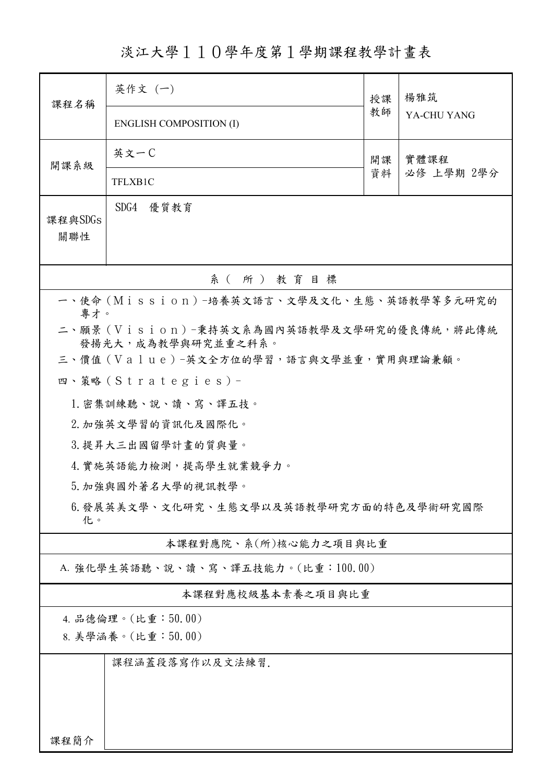淡江大學110學年度第1學期課程教學計畫表

| 課程名稱                                                                    | 英作文 (一)                                    | 授課 | 楊雅筑<br>YA-CHU YANG |  |  |  |  |  |  |  |
|-------------------------------------------------------------------------|--------------------------------------------|----|--------------------|--|--|--|--|--|--|--|
|                                                                         | <b>ENGLISH COMPOSITION (I)</b>             | 教師 |                    |  |  |  |  |  |  |  |
| 開課系級                                                                    | 英文一C                                       | 開課 | 實體課程<br>必修 上學期 2學分 |  |  |  |  |  |  |  |
|                                                                         | TFLXB1C                                    | 資料 |                    |  |  |  |  |  |  |  |
| 課程與SDGs<br>關聯性                                                          | SDG4 優質教育                                  |    |                    |  |  |  |  |  |  |  |
| 系(所)教育目標                                                                |                                            |    |                    |  |  |  |  |  |  |  |
|                                                                         | 一、使命 (Mission) -培養英文語言、文學及文化、生態、英語教學等多元研究的 |    |                    |  |  |  |  |  |  |  |
| 專才。<br>二、願景 (Vision)-秉持英文系為國內英語教學及文學研究的優良傳統,將此傳統<br>發揚光大, 成為教學與研究並重之科系。 |                                            |    |                    |  |  |  |  |  |  |  |
| 三、價值 (Value)-英文全方位的學習,語言與文學並重,實用與理論兼顧。                                  |                                            |    |                    |  |  |  |  |  |  |  |
|                                                                         | 四、策略 (Strategies) -                        |    |                    |  |  |  |  |  |  |  |
|                                                                         | 1. 密集訓練聽、說、讀、寫、譯五技。                        |    |                    |  |  |  |  |  |  |  |
|                                                                         | 2. 加強英文學習的資訊化及國際化。                         |    |                    |  |  |  |  |  |  |  |
|                                                                         | 3. 提昇大三出國留學計畫的質與量。                         |    |                    |  |  |  |  |  |  |  |
|                                                                         | 4. 實施英語能力檢測,提高學生就業競爭力。                     |    |                    |  |  |  |  |  |  |  |
|                                                                         | 5. 加強與國外著名大學的視訊教學。                         |    |                    |  |  |  |  |  |  |  |
| 6.發展英美文學、文化研究、生態文學以及英語教學研究方面的特色及學術研究國際<br>化。                            |                                            |    |                    |  |  |  |  |  |  |  |
|                                                                         | 本課程對應院、系(所)核心能力之項目與比重                      |    |                    |  |  |  |  |  |  |  |
|                                                                         | A. 強化學生英語聽、說、讀、寫、譯五技能力。(比重:100.00)         |    |                    |  |  |  |  |  |  |  |
| 本課程對應校級基本素養之項目與比重                                                       |                                            |    |                    |  |  |  |  |  |  |  |
|                                                                         | 4. 品德倫理。(比重:50.00)                         |    |                    |  |  |  |  |  |  |  |
| 8. 美學涵養。(比重:50.00)                                                      |                                            |    |                    |  |  |  |  |  |  |  |
| 課程涵蓋段落寫作以及文法練習.                                                         |                                            |    |                    |  |  |  |  |  |  |  |
|                                                                         |                                            |    |                    |  |  |  |  |  |  |  |
|                                                                         |                                            |    |                    |  |  |  |  |  |  |  |
| 課程簡介                                                                    |                                            |    |                    |  |  |  |  |  |  |  |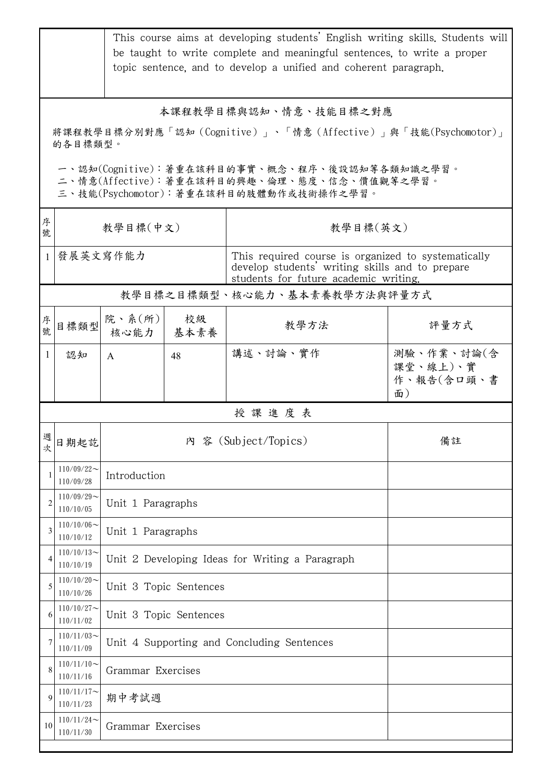|                                                                                                                                        | This course aims at developing students' English writing skills. Students will<br>be taught to write complete and meaningful sentences, to write a proper<br>topic sentence, and to develop a unified and coherent paragraph. |                                                 |                        |                                                                                                                                                 |                                            |  |  |
|----------------------------------------------------------------------------------------------------------------------------------------|-------------------------------------------------------------------------------------------------------------------------------------------------------------------------------------------------------------------------------|-------------------------------------------------|------------------------|-------------------------------------------------------------------------------------------------------------------------------------------------|--------------------------------------------|--|--|
| 本課程教學目標與認知、情意、技能目標之對應<br>將課程教學目標分別對應「認知(Cognitive)」、「情意(Affective)」與「技能(Psychomotor)」<br>的各目標類型。                                       |                                                                                                                                                                                                                               |                                                 |                        |                                                                                                                                                 |                                            |  |  |
| 一、認知(Cognitive):著重在該科目的事實、概念、程序、後設認知等各類知識之學習。<br>二、情意(Affective):著重在該科目的興趣、倫理、態度、信念、價值觀等之學習。<br>三、技能(Psychomotor):著重在該科目的肢體動作或技術操作之學習。 |                                                                                                                                                                                                                               |                                                 |                        |                                                                                                                                                 |                                            |  |  |
| 序<br>號                                                                                                                                 | 教學目標(中文)                                                                                                                                                                                                                      |                                                 |                        | 教學目標(英文)                                                                                                                                        |                                            |  |  |
| $\overline{1}$                                                                                                                         | 發展英文寫作能力                                                                                                                                                                                                                      |                                                 |                        | This required course is organized to systematically<br>develop students' writing skills and to prepare<br>students for future academic writing. |                                            |  |  |
|                                                                                                                                        |                                                                                                                                                                                                                               |                                                 |                        |                                                                                                                                                 | 教學目標之目標類型、核心能力、基本素養教學方法與評量方式               |  |  |
| 序號                                                                                                                                     | 目標類型                                                                                                                                                                                                                          | 院、系(所)<br>核心能力                                  | 校級<br>基本素養             | 教學方法                                                                                                                                            | 評量方式                                       |  |  |
| -1                                                                                                                                     | 認知                                                                                                                                                                                                                            | A                                               | 48                     | 講述、討論、實作                                                                                                                                        | 測驗、作業、討論(含<br>課堂、線上)、實<br>作、報告(含口頭、書<br>面) |  |  |
|                                                                                                                                        |                                                                                                                                                                                                                               |                                                 |                        | 授課進度表                                                                                                                                           |                                            |  |  |
| 週<br>次                                                                                                                                 | 日期起訖                                                                                                                                                                                                                          |                                                 |                        | 內 容 (Subject/Topics)                                                                                                                            | 備註                                         |  |  |
|                                                                                                                                        | $110/09/22$ ~<br>110/09/28                                                                                                                                                                                                    | Introduction                                    |                        |                                                                                                                                                 |                                            |  |  |
| 2                                                                                                                                      | $110/09/29$ ~<br>110/10/05                                                                                                                                                                                                    | Unit 1 Paragraphs                               |                        |                                                                                                                                                 |                                            |  |  |
| 3                                                                                                                                      | $110/10/06$ ~<br>110/10/12                                                                                                                                                                                                    |                                                 | Unit 1 Paragraphs      |                                                                                                                                                 |                                            |  |  |
| 4                                                                                                                                      | $110/10/13$ ~<br>110/10/19                                                                                                                                                                                                    | Unit 2 Developing Ideas for Writing a Paragraph |                        |                                                                                                                                                 |                                            |  |  |
| 5                                                                                                                                      | $110/10/20$ ~<br>110/10/26                                                                                                                                                                                                    |                                                 | Unit 3 Topic Sentences |                                                                                                                                                 |                                            |  |  |
| 6                                                                                                                                      | $110/10/27$ ~<br>110/11/02                                                                                                                                                                                                    | Unit 3 Topic Sentences                          |                        |                                                                                                                                                 |                                            |  |  |
|                                                                                                                                        | $110/11/03$ ~<br>110/11/09                                                                                                                                                                                                    | Unit 4 Supporting and Concluding Sentences      |                        |                                                                                                                                                 |                                            |  |  |
| 8                                                                                                                                      | $110/11/10$ ~<br>110/11/16                                                                                                                                                                                                    | Grammar Exercises                               |                        |                                                                                                                                                 |                                            |  |  |
| $\mathbf Q$                                                                                                                            | $110/11/17$ ~<br>110/11/23                                                                                                                                                                                                    | 期中考試週                                           |                        |                                                                                                                                                 |                                            |  |  |
| 10                                                                                                                                     | $110/11/24$ ~<br>Grammar Exercises<br>110/11/30                                                                                                                                                                               |                                                 |                        |                                                                                                                                                 |                                            |  |  |